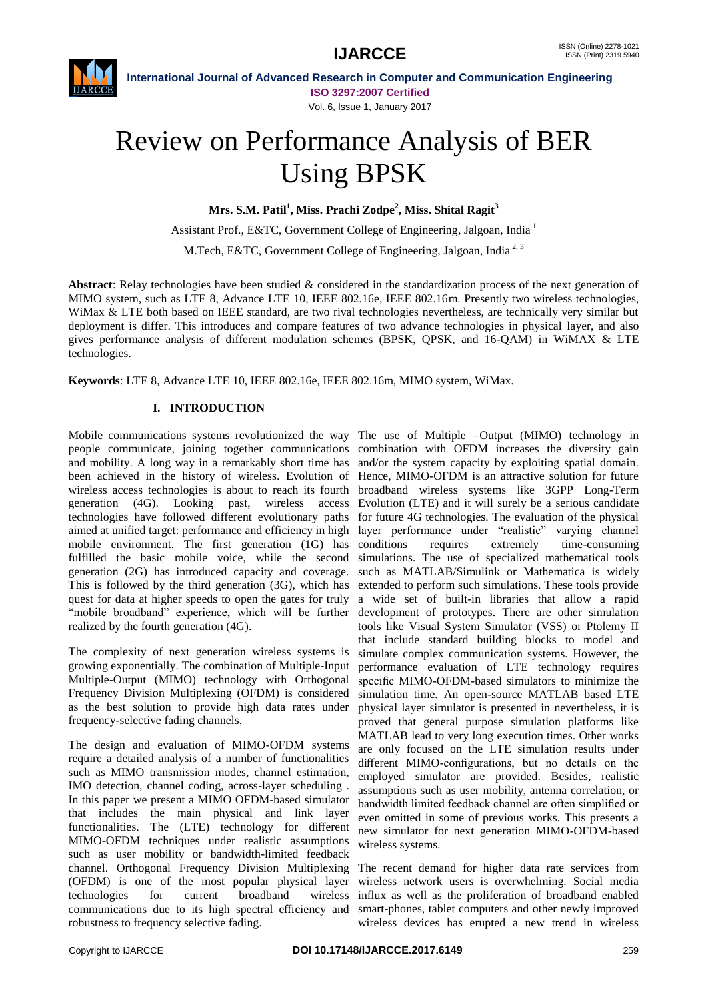

**International Journal of Advanced Research in Computer and Communication Engineering ISO 3297:2007 Certified** Vol. 6, Issue 1, January 2017

# Review on Performance Analysis of BER Using BPSK

**Mrs. S.M. Patil<sup>1</sup> , Miss. Prachi Zodpe<sup>2</sup> , Miss. Shital Ragit<sup>3</sup>**

Assistant Prof., E&TC, Government College of Engineering, Jalgoan, India <sup>1</sup> M.Tech, E&TC, Government College of Engineering, Jalgoan, India<sup>2, 3</sup>

**Abstract**: Relay technologies have been studied & considered in the standardization process of the next generation of MIMO system, such as LTE 8, Advance LTE 10, IEEE 802.16e, IEEE 802.16m. Presently two wireless technologies, WiMax & LTE both based on IEEE standard, are two rival technologies nevertheless, are technically very similar but deployment is differ. This introduces and compare features of two advance technologies in physical layer, and also gives performance analysis of different modulation schemes (BPSK, QPSK, and 16-QAM) in WiMAX & LTE technologies.

**Keywords**: LTE 8, Advance LTE 10, IEEE 802.16e, IEEE 802.16m, MIMO system, WiMax.

# **I. INTRODUCTION**

Mobile communications systems revolutionized the way The use of Multiple –Output (MIMO) technology in people communicate, joining together communications combination with OFDM increases the diversity gain and mobility. A long way in a remarkably short time has and/or the system capacity by exploiting spatial domain. been achieved in the history of wireless. Evolution of Hence, MIMO-OFDM is an attractive solution for future wireless access technologies is about to reach its fourth broadband wireless systems like 3GPP Long-Term generation (4G). Looking past, wireless access Evolution (LTE) and it will surely be a serious candidate technologies have followed different evolutionary paths for future 4G technologies. The evaluation of the physical aimed at unified target: performance and efficiency in high layer performance under "realistic" varying channel mobile environment. The first generation (1G) has conditions fulfilled the basic mobile voice, while the second simulations. The use of specialized mathematical tools generation (2G) has introduced capacity and coverage. This is followed by the third generation (3G), which has extended to perform such simulations. These tools provide quest for data at higher speeds to open the gates for truly "mobile broadband" experience, which will be further realized by the fourth generation (4G).

The complexity of next generation wireless systems is growing exponentially. The combination of Multiple-Input Multiple-Output (MIMO) technology with Orthogonal Frequency Division Multiplexing (OFDM) is considered as the best solution to provide high data rates under frequency-selective fading channels.

The design and evaluation of MIMO-OFDM systems require a detailed analysis of a number of functionalities such as MIMO transmission modes, channel estimation, IMO detection, channel coding, across-layer scheduling . In this paper we present a MIMO OFDM-based simulator that includes the main physical and link layer functionalities. The (LTE) technology for different MIMO-OFDM techniques under realistic assumptions such as user mobility or bandwidth-limited feedback channel. Orthogonal Frequency Division Multiplexing (OFDM) is one of the most popular physical layer technologies for current broadband wireless communications due to its high spectral efficiency and robustness to frequency selective fading.

requires extremely time-consuming such as MATLAB/Simulink or Mathematica is widely a wide set of built-in libraries that allow a rapid development of prototypes. There are other simulation tools like Visual System Simulator (VSS) or Ptolemy II that include standard building blocks to model and simulate complex communication systems. However, the performance evaluation of LTE technology requires specific MIMO-OFDM-based simulators to minimize the simulation time. An open-source MATLAB based LTE physical layer simulator is presented in nevertheless, it is proved that general purpose simulation platforms like MATLAB lead to very long execution times. Other works are only focused on the LTE simulation results under different MIMO-configurations, but no details on the employed simulator are provided. Besides, realistic assumptions such as user mobility, antenna correlation, or bandwidth limited feedback channel are often simplified or even omitted in some of previous works. This presents a new simulator for next generation MIMO-OFDM-based wireless systems.

The recent demand for higher data rate services from wireless network users is overwhelming. Social media influx as well as the proliferation of broadband enabled smart-phones, tablet computers and other newly improved wireless devices has erupted a new trend in wireless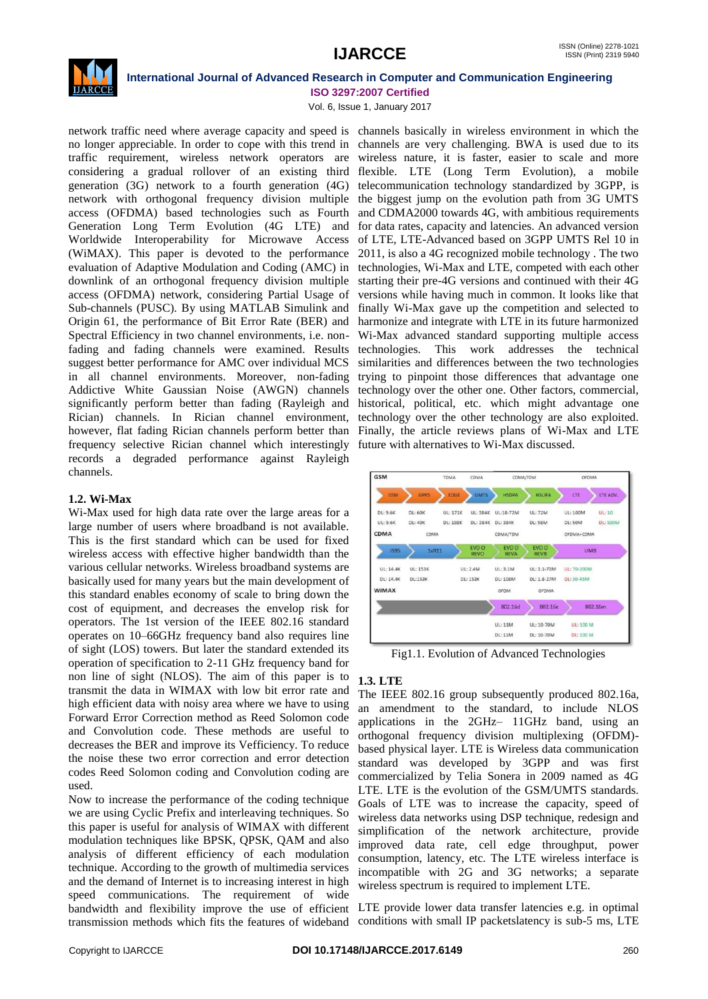

Vol. 6, Issue 1, January 2017

network traffic need where average capacity and speed is channels basically in wireless environment in which the no longer appreciable. In order to cope with this trend in channels are very challenging. BWA is used due to its traffic requirement, wireless network operators are wireless nature, it is faster, easier to scale and more considering a gradual rollover of an existing third flexible. LTE (Long Term Evolution), a mobile generation (3G) network to a fourth generation (4G) telecommunication technology standardized by 3GPP, is network with orthogonal frequency division multiple the biggest jump on the evolution path from 3G UMTS access (OFDMA) based technologies such as Fourth and CDMA2000 towards 4G, with ambitious requirements Generation Long Term Evolution (4G LTE) and for data rates, capacity and latencies. An advanced version Worldwide Interoperability for Microwave Access (WiMAX). This paper is devoted to the performance evaluation of Adaptive Modulation and Coding (AMC) in technologies, Wi-Max and LTE, competed with each other downlink of an orthogonal frequency division multiple access (OFDMA) network, considering Partial Usage of versions while having much in common. It looks like that Sub-channels (PUSC). By using MATLAB Simulink and finally Wi-Max gave up the competition and selected to Origin 61, the performance of Bit Error Rate (BER) and harmonize and integrate with LTE in its future harmonized Spectral Efficiency in two channel environments, i.e. nonfading and fading channels were examined. Results technologies. suggest better performance for AMC over individual MCS in all channel environments. Moreover, non-fading Addictive White Gaussian Noise (AWGN) channels significantly perform better than fading (Rayleigh and Rician) channels. In Rician channel environment, however, flat fading Rician channels perform better than frequency selective Rician channel which interestingly records a degraded performance against Rayleigh channels.

# **1.2. Wi-Max**

Wi-Max used for high data rate over the large areas for a large number of users where broadband is not available. This is the first standard which can be used for fixed wireless access with effective higher bandwidth than the various cellular networks. Wireless broadband systems are basically used for many years but the main development of this standard enables economy of scale to bring down the cost of equipment, and decreases the envelop risk for operators. The 1st version of the IEEE 802.16 standard operates on 10–66GHz frequency band also requires line of sight (LOS) towers. But later the standard extended its operation of specification to 2-11 GHz frequency band for non line of sight (NLOS). The aim of this paper is to transmit the data in WIMAX with low bit error rate and high efficient data with noisy area where we have to using Forward Error Correction method as Reed Solomon code and Convolution code. These methods are useful to decreases the BER and improve its Vefficiency. To reduce the noise these two error correction and error detection codes Reed Solomon coding and Convolution coding are used.

Now to increase the performance of the coding technique we are using Cyclic Prefix and interleaving techniques. So this paper is useful for analysis of WIMAX with different modulation techniques like BPSK, QPSK, QAM and also analysis of different efficiency of each modulation technique. According to the growth of multimedia services and the demand of Internet is to increasing interest in high speed communications. The requirement of wide bandwidth and flexibility improve the use of efficient transmission methods which fits the features of wideband

of LTE, LTE-Advanced based on 3GPP UMTS Rel 10 in 2011, is also a 4G recognized mobile technology . The two starting their pre-4G versions and continued with their 4G Wi-Max advanced standard supporting multiple access This work addresses the technical similarities and differences between the two technologies trying to pinpoint those differences that advantage one technology over the other one. Other factors, commercial, historical, political, etc. which might advantage one technology over the other technology are also exploited. Finally, the article reviews plans of Wi-Max and LTE future with alternatives to Wi-Max discussed.



Fig1.1. Evolution of Advanced Technologies

# **1.3. LTE**

The IEEE 802.16 group subsequently produced 802.16a, an amendment to the standard, to include NLOS applications in the 2GHz– 11GHz band, using an orthogonal frequency division multiplexing (OFDM) based physical layer. LTE is Wireless data communication standard was developed by 3GPP and was first commercialized by Telia Sonera in 2009 named as 4G LTE. LTE is the evolution of the GSM/UMTS standards. Goals of LTE was to increase the capacity, speed of wireless data networks using DSP technique, redesign and simplification of the network architecture, provide improved data rate, cell edge throughput, power consumption, latency, etc. The LTE wireless interface is incompatible with 2G and 3G networks; a separate wireless spectrum is required to implement LTE.

LTE provide lower data transfer latencies e.g. in optimal conditions with small IP packetslatency is sub-5 ms, LTE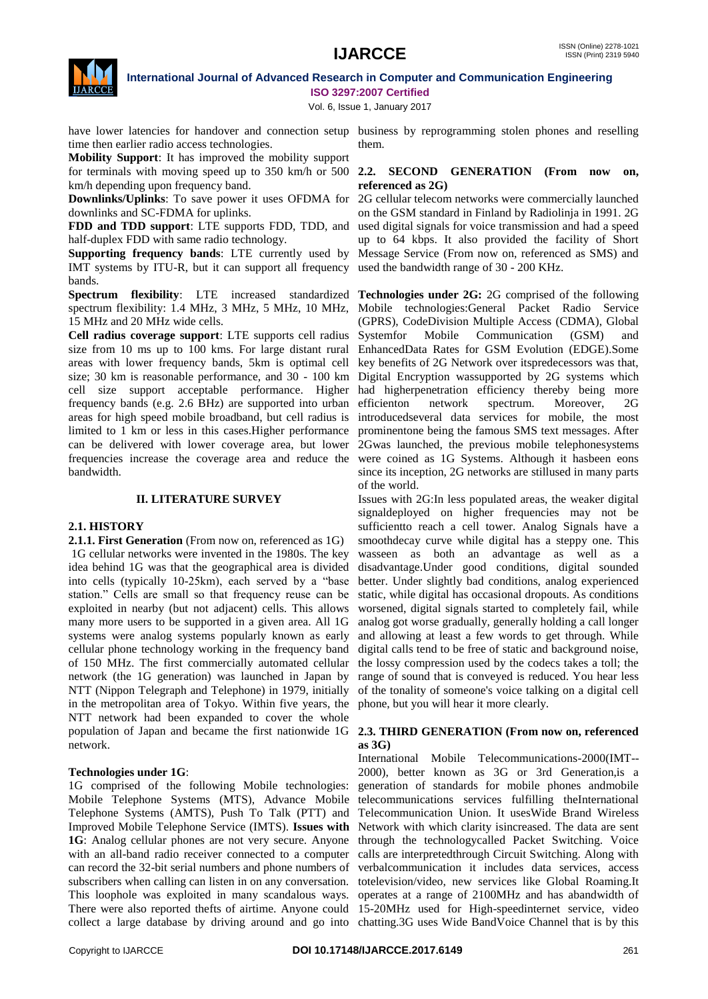

Vol. 6, Issue 1, January 2017

have lower latencies for handover and connection setup business by reprogramming stolen phones and reselling time then earlier radio access technologies.

**Mobility Support**: It has improved the mobility support for terminals with moving speed up to 350 km/h or 500 km/h depending upon frequency band.

**Downlinks/Uplinks**: To save power it uses OFDMA for downlinks and SC-FDMA for uplinks.

**FDD and TDD support**: LTE supports FDD, TDD, and half-duplex FDD with same radio technology.

**Supporting frequency bands**: LTE currently used by IMT systems by ITU-R, but it can support all frequency used the bandwidth range of 30 - 200 KHz. bands.

**Spectrum flexibility**: LTE increased standardized **Technologies under 2G:** 2G comprised of the following spectrum flexibility: 1.4 MHz, 3 MHz, 5 MHz, 10 MHz, Mobile technologies:General Packet Radio Service 15 MHz and 20 MHz wide cells.

**Cell radius coverage support**: LTE supports cell radius size from 10 ms up to 100 kms. For large distant rural EnhancedData Rates for GSM Evolution (EDGE).Some areas with lower frequency bands, 5km is optimal cell key benefits of 2G Network over itspredecessors was that, size; 30 km is reasonable performance, and 30 - 100 km Digital Encryption wassupported by 2G systems which cell size support acceptable performance. Higher frequency bands (e.g. 2.6 BHz) are supported into urban areas for high speed mobile broadband, but cell radius is limited to 1 km or less in this cases.Higher performance can be delivered with lower coverage area, but lower frequencies increase the coverage area and reduce the were coined as 1G Systems. Although it hasbeen eons bandwidth.

### **II. LITERATURE SURVEY**

# **2.1. HISTORY**

**2.1.1. First Generation** (From now on, referenced as 1G) 1G cellular networks were invented in the 1980s. The key idea behind 1G was that the geographical area is divided into cells (typically 10-25km), each served by a "base station." Cells are small so that frequency reuse can be exploited in nearby (but not adjacent) cells. This allows many more users to be supported in a given area. All 1G systems were analog systems popularly known as early cellular phone technology working in the frequency band of 150 MHz. The first commercially automated cellular network (the 1G generation) was launched in Japan by NTT (Nippon Telegraph and Telephone) in 1979, initially in the metropolitan area of Tokyo. Within five years, the NTT network had been expanded to cover the whole population of Japan and became the first nationwide 1G network.

# **Technologies under 1G**:

1G comprised of the following Mobile technologies: Mobile Telephone Systems (MTS), Advance Mobile Telephone Systems (AMTS), Push To Talk (PTT) and Telecommunication Union. It usesWide Brand Wireless Improved Mobile Telephone Service (IMTS). **Issues with**  Network with which clarity isincreased. The data are sent **1G**: Analog cellular phones are not very secure. Anyone through the technologycalled Packet Switching. Voice with an all-band radio receiver connected to a computer calls are interpretedthrough Circuit Switching. Along with can record the 32-bit serial numbers and phone numbers of verbalcommunication it includes data services, access subscribers when calling can listen in on any conversation. totelevision/video, new services like Global Roaming.It This loophole was exploited in many scandalous ways. operates at a range of 2100MHz and has abandwidth of There were also reported thefts of airtime. Anyone could 15-20MHz used for High-speedinternet service, video

them.

### **2.2. SECOND GENERATION (From now on, referenced as 2G)**

2G cellular telecom networks were commercially launched on the GSM standard in Finland by Radiolinja in 1991. 2G used digital signals for voice transmission and had a speed up to 64 kbps. It also provided the facility of Short Message Service (From now on, referenced as SMS) and

(GPRS), CodeDivision Multiple Access (CDMA), Global Mobile Communication (GSM) and had higherpenetration efficiency thereby being more efficienton network spectrum. Moreover, 2G introducedseveral data services for mobile, the most prominentone being the famous SMS text messages. After 2Gwas launched, the previous mobile telephonesystems since its inception, 2G networks are stillused in many parts of the world.

Issues with 2G:In less populated areas, the weaker digital signaldeployed on higher frequencies may not be sufficientto reach a cell tower. Analog Signals have a smoothdecay curve while digital has a steppy one. This wasseen as both an advantage as well as a disadvantage.Under good conditions, digital sounded better. Under slightly bad conditions, analog experienced static, while digital has occasional dropouts. As conditions worsened, digital signals started to completely fail, while analog got worse gradually, generally holding a call longer and allowing at least a few words to get through. While digital calls tend to be free of static and background noise, the lossy compression used by the codecs takes a toll; the range of sound that is conveyed is reduced. You hear less of the tonality of someone's voice talking on a digital cell phone, but you will hear it more clearly.

### **2.3. THIRD GENERATION (From now on, referenced as 3G)**

collect a large database by driving around and go into chatting.3G uses Wide BandVoice Channel that is by this International Mobile Telecommunications-2000(IMT-- 2000), better known as 3G or 3rd Generation,is a generation of standards for mobile phones andmobile telecommunications services fulfilling theInternational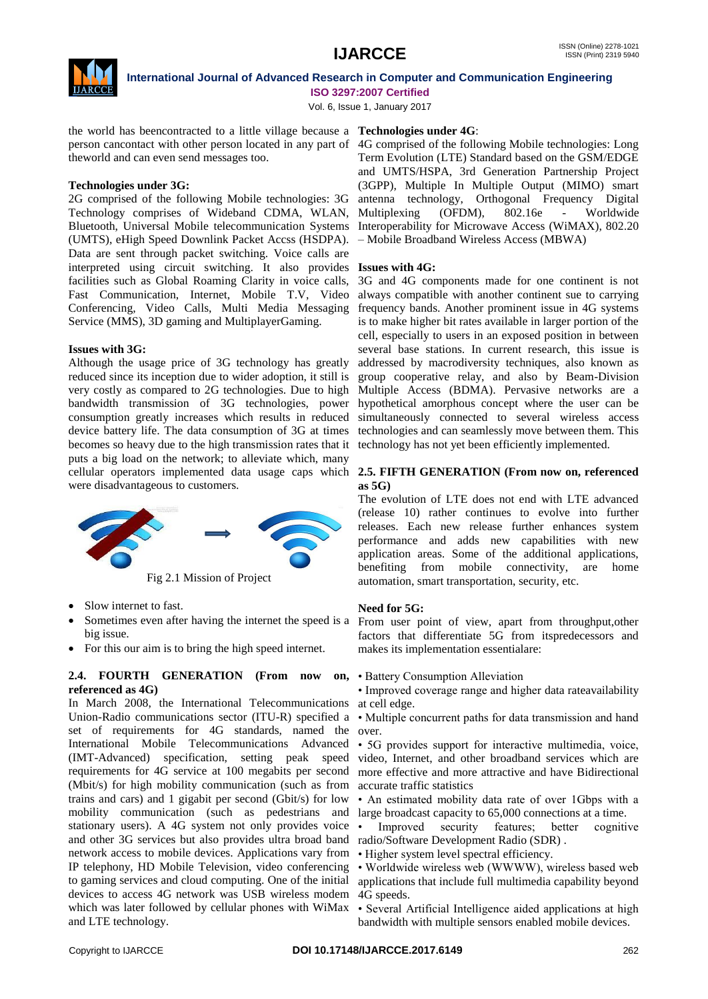

Vol. 6, Issue 1, January 2017

the world has beencontracted to a little village because a **Technologies under 4G**: theworld and can even send messages too.

# **Technologies under 3G:**

2G comprised of the following Mobile technologies: 3G Technology comprises of Wideband CDMA, WLAN, Bluetooth, Universal Mobile telecommunication Systems Interoperability for Microwave Access (WiMAX), 802.20 (UMTS), eHigh Speed Downlink Packet Accss (HSDPA). Data are sent through packet switching. Voice calls are interpreted using circuit switching. It also provides **Issues with 4G:** facilities such as Global Roaming Clarity in voice calls, Service (MMS), 3D gaming and MultiplayerGaming.

# **Issues with 3G:**

Although the usage price of 3G technology has greatly reduced since its inception due to wider adoption, it still is very costly as compared to 2G technologies. Due to high bandwidth transmission of 3G technologies, power consumption greatly increases which results in reduced device battery life. The data consumption of 3G at times becomes so heavy due to the high transmission rates that it puts a big load on the network; to alleviate which, many were disadvantageous to customers.



Fig 2.1 Mission of Project

- Slow internet to fast.
- Sometimes even after having the internet the speed is a From user point of view, apart from throughput,other big issue.
- For this our aim is to bring the high speed internet.

# **2.4. FOURTH GENERATION (From now referenced as 4G)**

In March 2008, the International Telecommunications at cell edge. Union-Radio communications sector (ITU-R) specified a • Multiple concurrent paths for data transmission and hand set of requirements for 4G standards, named the over. International Mobile Telecommunications Advanced • 5G provides support for interactive multimedia, voice, (IMT-Advanced) specification, setting peak speed requirements for 4G service at 100 megabits per second (Mbit/s) for high mobility communication (such as from trains and cars) and 1 gigabit per second (Gbit/s) for low mobility communication (such as pedestrians and large broadcast capacity to 65,000 connections at a time. stationary users). A 4G system not only provides voice • and other 3G services but also provides ultra broad band radio/Software Development Radio (SDR) . network access to mobile devices. Applications vary from • Higher system level spectral efficiency. IP telephony, HD Mobile Television, video conferencing • Worldwide wireless web (WWWW), wireless based web to gaming services and cloud computing. One of the initial applications that include full multimedia capability beyond devices to access 4G network was USB wireless modem 4G speeds. which was later followed by cellular phones with WiMax · Several Artificial Intelligence aided applications at high and LTE technology.

person cancontact with other person located in any part of 4G comprised of the following Mobile technologies: Long Term Evolution (LTE) Standard based on the GSM/EDGE and UMTS/HSPA, 3rd Generation Partnership Project (3GPP), Multiple In Multiple Output (MIMO) smart antenna technology, Orthogonal Frequency Digital Multiplexing (OFDM), 802.16e - Worldwide – Mobile Broadband Wireless Access (MBWA)

Fast Communication, Internet, Mobile T.V, Video always compatible with another continent sue to carrying Conferencing, Video Calls, Multi Media Messaging frequency bands. Another prominent issue in 4G systems 3G and 4G components made for one continent is not is to make higher bit rates available in larger portion of the cell, especially to users in an exposed position in between several base stations. In current research, this issue is addressed by macrodiversity techniques, also known as group cooperative relay, and also by Beam-Division Multiple Access (BDMA). Pervasive networks are a hypothetical amorphous concept where the user can be simultaneously connected to several wireless access technologies and can seamlessly move between them. This technology has not yet been efficiently implemented.

### cellular operators implemented data usage caps which **2.5. FIFTH GENERATION (From now on, referenced as 5G)**

The evolution of LTE does not end with LTE advanced (release 10) rather continues to evolve into further releases. Each new release further enhances system performance and adds new capabilities with new application areas. Some of the additional applications, benefiting from mobile connectivity, are home automation, smart transportation, security, etc.

# **Need for 5G:**

factors that differentiate 5G from itspredecessors and makes its implementation essentialare:

• Battery Consumption Alleviation

• Improved coverage range and higher data rateavailability

video, Internet, and other broadband services which are more effective and more attractive and have Bidirectional accurate traffic statistics

• An estimated mobility data rate of over 1Gbps with a

Improved security features; better cognitive

bandwidth with multiple sensors enabled mobile devices.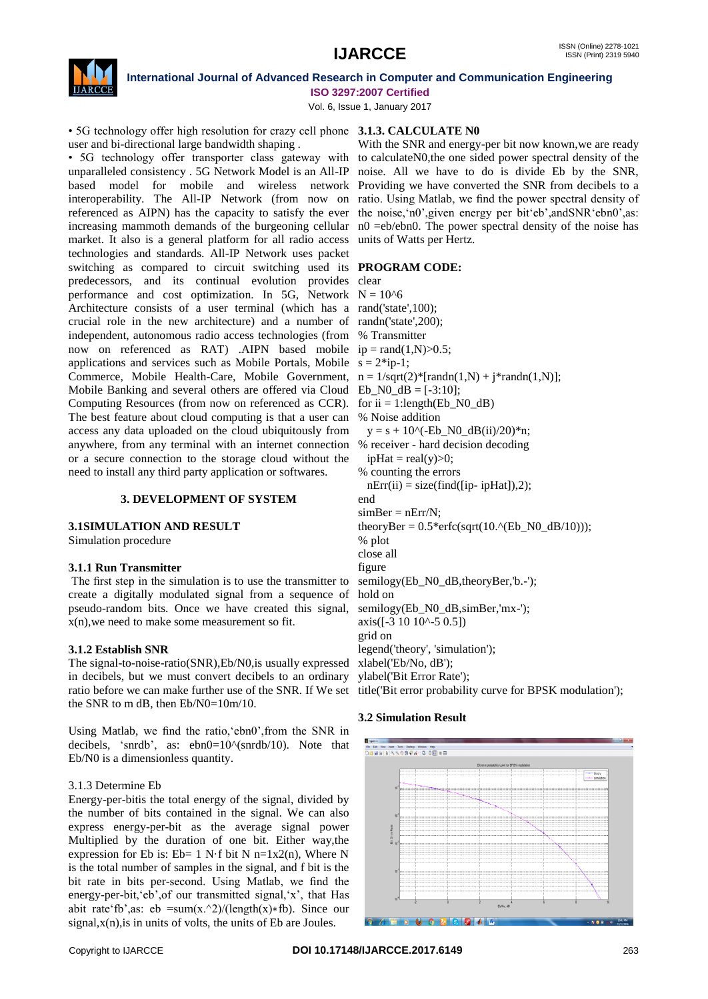

Vol. 6, Issue 1, January 2017

• 5G technology offer high resolution for crazy cell phone **3.1.3. CALCULATE N0** user and bi-directional large bandwidth shaping .

• 5G technology offer transporter class gateway with to calculateN0, the one sided power spectral density of the unparalleled consistency . 5G Network Model is an All-IP noise. All we have to do is divide Eb by the SNR, based model for mobile and wireless network Providing we have converted the SNR from decibels to a interoperability. The All-IP Network (from now on referenced as AIPN) has the capacity to satisfy the ever the noise, 'n0', given energy per bit 'eb', andSNR 'ebn0', as: increasing mammoth demands of the burgeoning cellular n0 =eb/ebn0. The power spectral density of the noise has market. It also is a general platform for all radio access units of Watts per Hertz. technologies and standards. All-IP Network uses packet switching as compared to circuit switching used its **PROGRAM CODE:** predecessors, and its continual evolution provides clear performance and cost optimization. In 5G, Network  $N = 10<sup>6</sup>$ Architecture consists of a user terminal (which has a rand('state',100); crucial role in the new architecture) and a number of randn('state',200); independent, autonomous radio access technologies (from % Transmitter now on referenced as RAT) .AIPN based mobile  $ip = rand(1,N) > 0.5$ ; applications and services such as Mobile Portals, Mobile  $s = 2$ <sup>\*</sup>ip-1; Commerce, Mobile Health-Care, Mobile Government,  $n = 1/\sqrt{(2^*[\text{randn}(1,N) + j^* \text{randn}(1,N)]};$ Mobile Banking and several others are offered via Cloud  $Eb_N0_dB = [-3:10]$ ; Computing Resources (from now on referenced as CCR). for  $ii = 1$ :length(Eb\_N0\_dB) The best feature about cloud computing is that a user can % Noise addition access any data uploaded on the cloud ubiquitously from anywhere, from any terminal with an internet connection or a secure connection to the storage cloud without the need to install any third party application or softwares.

### **3. DEVELOPMENT OF SYSTEM**

### **3.1SIMULATION AND RESULT**

Simulation procedure

# **3.1.1 Run Transmitter**

The first step in the simulation is to use the transmitter to create a digitally modulated signal from a sequence of pseudo-random bits. Once we have created this signal, x(n),we need to make some measurement so fit.

# **3.1.2 Establish SNR**

The signal-to-noise-ratio(SNR),Eb/N0,is usually expressed in decibels, but we must convert decibels to an ordinary ratio before we can make further use of the SNR. If We set the SNR to m dB, then Eb/N0=10m/10.

Using Matlab, we find the ratio, ebn0', from the SNR in decibels, 'snrdb', as: ebn0=10^(snrdb/10). Note that Eb/N0 is a dimensionless quantity.

# 3.1.3 Determine Eb

Energy-per-bitis the total energy of the signal, divided by the number of bits contained in the signal. We can also express energy-per-bit as the average signal power Multiplied by the duration of one bit. Either way,the expression for Eb is: Eb=  $1 \text{ N} \cdot \text{f}$  bit N n=1x2(n), Where N is the total number of samples in the signal, and f bit is the bit rate in bits per-second. Using Matlab, we find the energy-per-bit, eb', of our transmitted signal, 'x', that Has abit rate fb',as: eb =sum(x,  $\frac{2}{\tan(x)}$ ) (length(x)∗fb). Since our  $signal, x(n)$ , is in units of volts, the units of Eb are Joules.

With the SNR and energy-per bit now known,we are ready ratio. Using Matlab, we find the power spectral density of

 $y = s + 10$ ^(-Eb\_N0\_dB(ii)/20)\*n; % receiver - hard decision decoding  $ipHat = real(y) > 0;$ % counting the errors  $nErr(ii) = size(find([ip-ipHat]),2);$ end  $simBer = nErr/N$ ; theoryBer =  $0.5$ \*erfc(sqrt(10.^(Eb\_N0\_dB/10))); % plot close all figure semilogy(Eb\_N0\_dB,theoryBer,'b.-'); hold on semilogy(Eb\_N0\_dB,simBer,'mx-');  $axis([-3 10 10<sup>0</sup> - 5 0.5])$ grid on legend('theory', 'simulation'); xlabel('Eb/No, dB'); ylabel('Bit Error Rate'); title('Bit error probability curve for BPSK modulation');

# **3.2 Simulation Result**